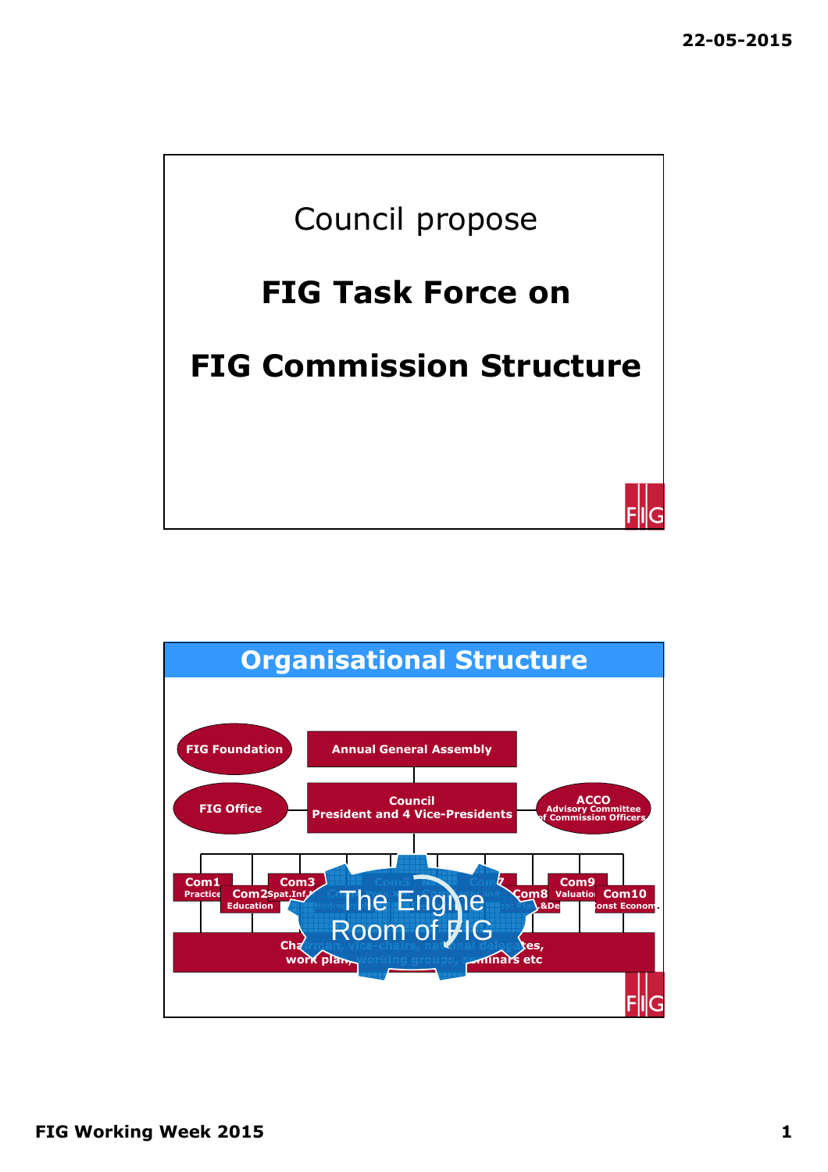

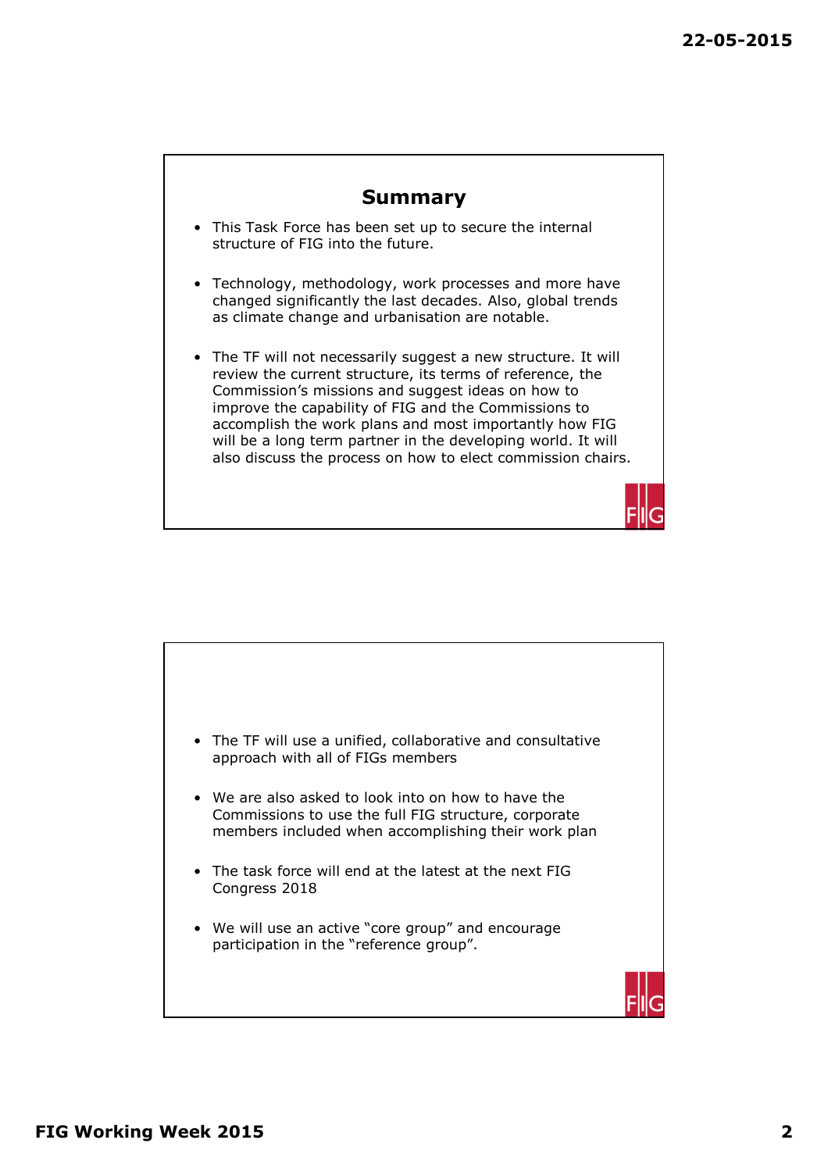## **Summary**

- This Task Force has been set up to secure the internal structure of FIG into the future.
- Technology, methodology, work processes and more have changed significantly the last decades. Also, global trends as climate change and urbanisation are notable.
- The TF will not necessarily suggest a new structure. It will review the current structure, its terms of reference, the Commission's missions and suggest ideas on how to improve the capability of FIG and the Commissions to accomplish the work plans and most importantly how FIG will be a long term partner in the developing world. It will also discuss the process on how to elect commission chairs.



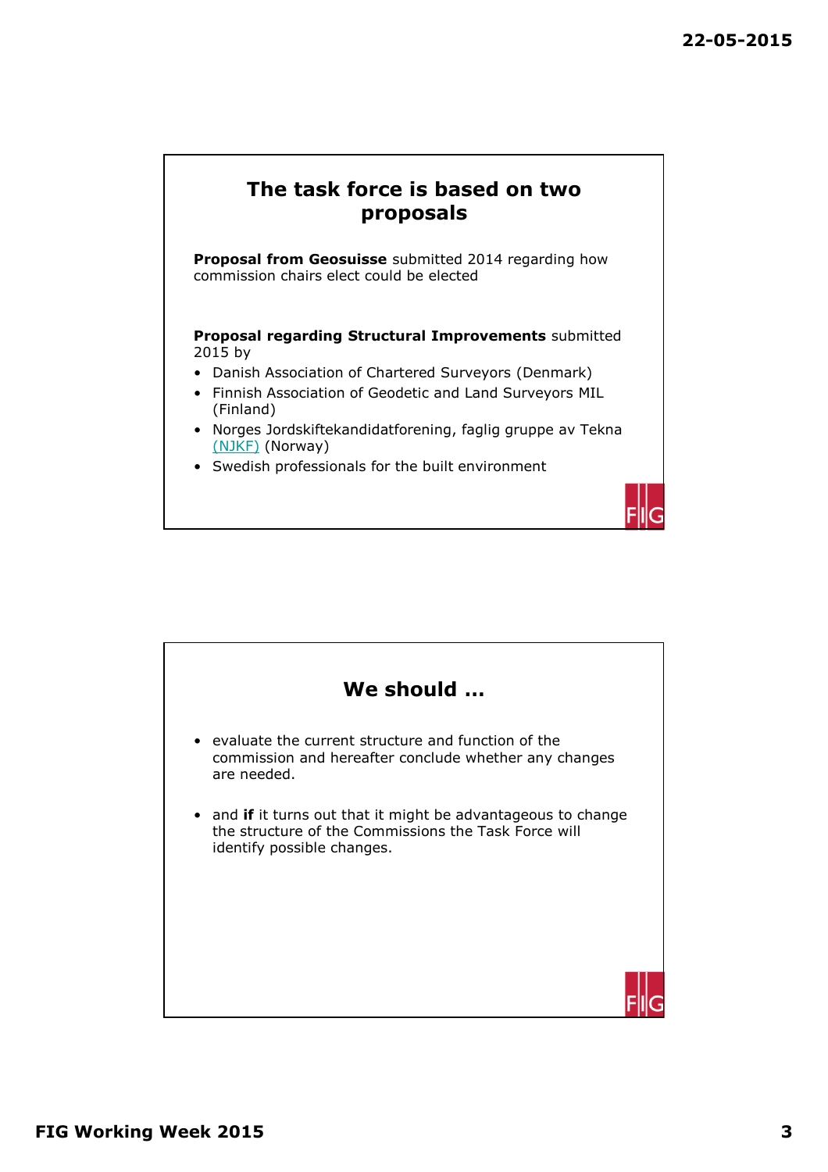

**Proposal from Geosuisse** submitted 2014 regarding how commission chairs elect could be elected

**Proposal regarding Structural Improvements** submitted 2015 by

- Danish Association of Chartered Surveyors (Denmark)
- Finnish Association of Geodetic and Land Surveyors MIL (Finland)
- Norges Jordskiftekandidatforening, faglig gruppe av Tekna (NJKF) (Norway)
- Swedish professionals for the built environment



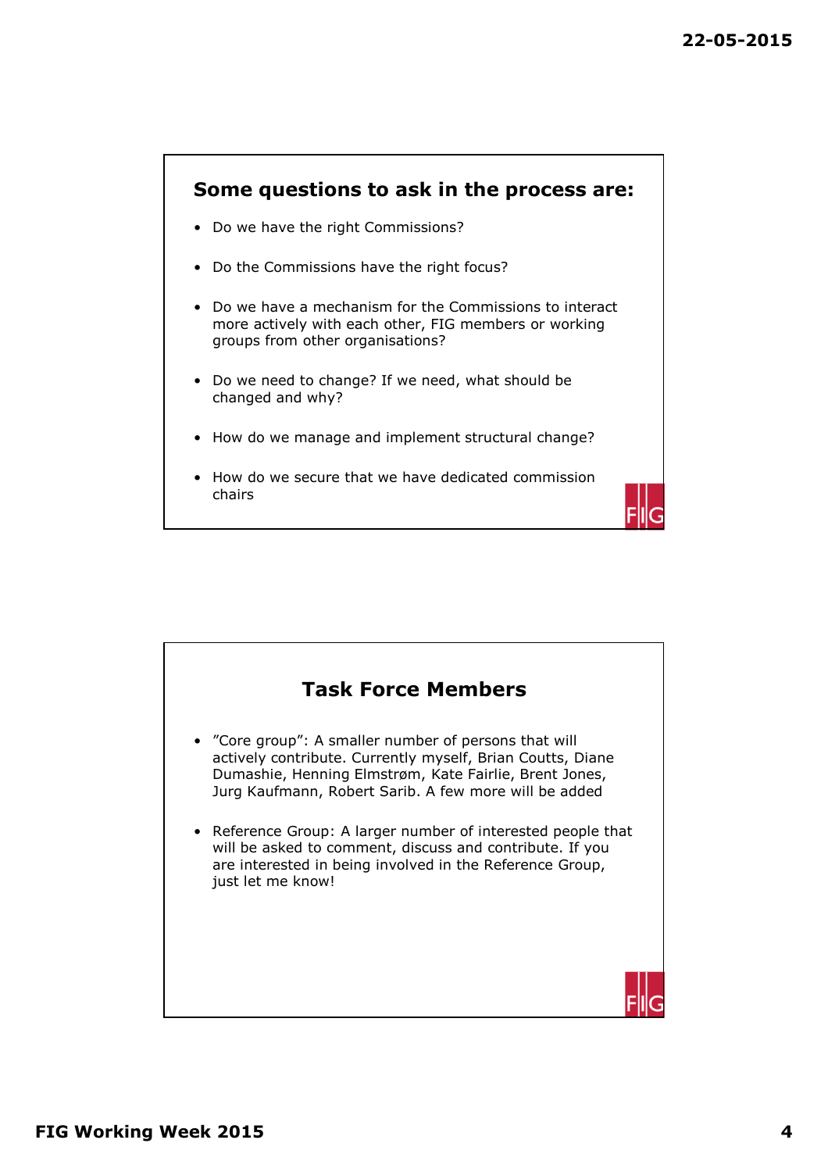